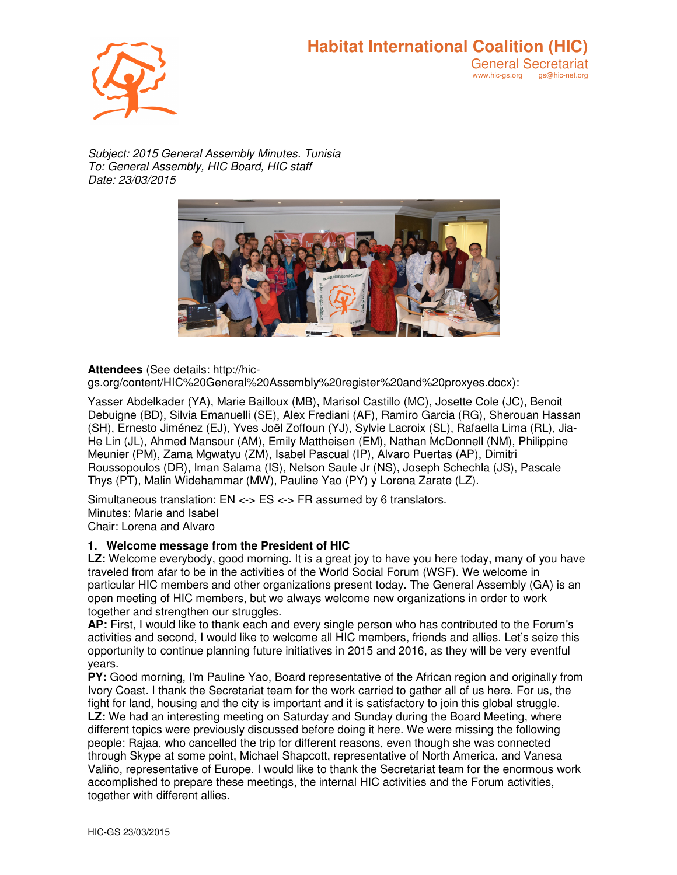## **Habitat International Coalition (HIC)** General Secretariat<br>www.hic-gs.org gs@hic-net.org

www.hic-gs.org

*Subject: 2015 General Assembly Minutes. Tunisia To: General Assembly, HIC Board, HIC staff Date: 23/03/2015* 



### **Attendees** (See details: http://hic-

gs.org/content/HIC%20General%20Assembly%20register%20and%20proxyes.docx):

Yasser Abdelkader (YA), Marie Bailloux (MB), Marisol Castillo (MC), Josette Cole (JC), Benoit Debuigne (BD), Silvia Emanuelli (SE), Alex Frediani (AF), Ramiro Garcia (RG), Sherouan Hassan (SH), Ernesto Jiménez (EJ), Yves Joël Zoffoun (YJ), Sylvie Lacroix (SL), Rafaella Lima (RL), Jia-He Lin (JL), Ahmed Mansour (AM), Emily Mattheisen (EM), Nathan McDonnell (NM), Philippine Meunier (PM), Zama Mgwatyu (ZM), Isabel Pascual (IP), Alvaro Puertas (AP), Dimitri Roussopoulos (DR), Iman Salama (IS), Nelson Saule Jr (NS), Joseph Schechla (JS), Pascale Thys (PT), Malin Widehammar (MW), Pauline Yao (PY) y Lorena Zarate (LZ).

Simultaneous translation: EN <-> ES <-> FR assumed by 6 translators.

Minutes: Marie and Isabel

Chair: Lorena and Alvaro

### **1. Welcome message from the President of HIC**

**LZ:** Welcome everybody, good morning. It is a great joy to have you here today, many of you have traveled from afar to be in the activities of the World Social Forum (WSF). We welcome in particular HIC members and other organizations present today. The General Assembly (GA) is an open meeting of HIC members, but we always welcome new organizations in order to work together and strengthen our struggles.

**AP:** First, I would like to thank each and every single person who has contributed to the Forum's activities and second, I would like to welcome all HIC members, friends and allies. Let's seize this opportunity to continue planning future initiatives in 2015 and 2016, as they will be very eventful years.

**PY:** Good morning, I'm Pauline Yao, Board representative of the African region and originally from Ivory Coast. I thank the Secretariat team for the work carried to gather all of us here. For us, the fight for land, housing and the city is important and it is satisfactory to join this global struggle. **LZ:** We had an interesting meeting on Saturday and Sunday during the Board Meeting, where different topics were previously discussed before doing it here. We were missing the following people: Rajaa, who cancelled the trip for different reasons, even though she was connected through Skype at some point, Michael Shapcott, representative of North America, and Vanesa Valiño, representative of Europe. I would like to thank the Secretariat team for the enormous work accomplished to prepare these meetings, the internal HIC activities and the Forum activities, together with different allies.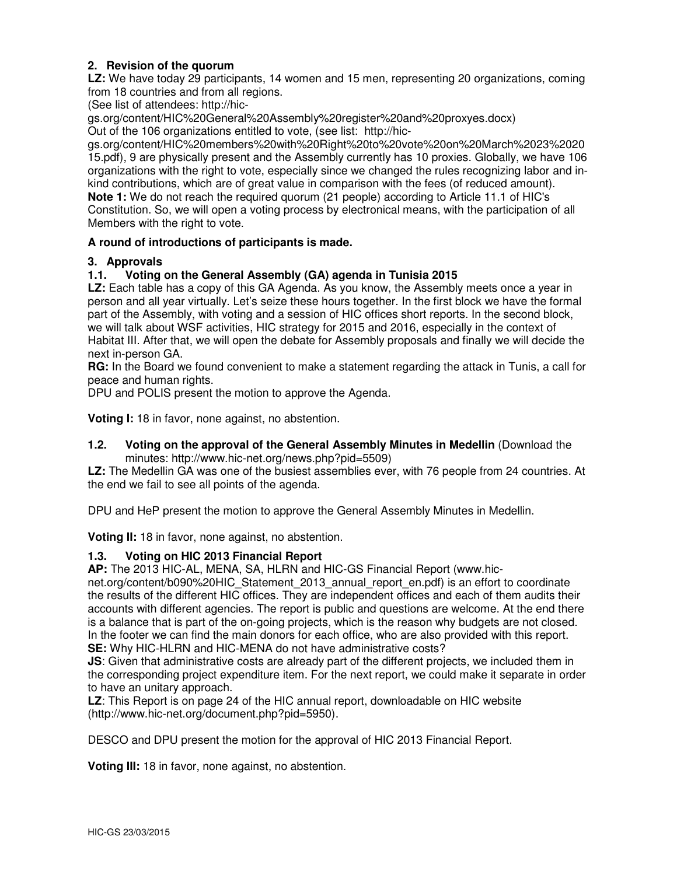### **2. Revision of the quorum**

**LZ:** We have today 29 participants, 14 women and 15 men, representing 20 organizations, coming from 18 countries and from all regions.

(See list of attendees: http://hic-

gs.org/content/HIC%20General%20Assembly%20register%20and%20proxyes.docx) Out of the 106 organizations entitled to vote, (see list: http://hic-

gs.org/content/HIC%20members%20with%20Right%20to%20vote%20on%20March%2023%2020 15.pdf), 9 are physically present and the Assembly currently has 10 proxies. Globally, we have 106 organizations with the right to vote, especially since we changed the rules recognizing labor and inkind contributions, which are of great value in comparison with the fees (of reduced amount). **Note 1:** We do not reach the required quorum (21 people) according to Article 11.1 of HIC's Constitution. So, we will open a voting process by electronical means, with the participation of all Members with the right to vote.

### **A round of introductions of participants is made.**

### **3. Approvals**

### **1.1. Voting on the General Assembly (GA) agenda in Tunisia 2015**

**LZ:** Each table has a copy of this GA Agenda. As you know, the Assembly meets once a year in person and all year virtually. Let's seize these hours together. In the first block we have the formal part of the Assembly, with voting and a session of HIC offices short reports. In the second block, we will talk about WSF activities, HIC strategy for 2015 and 2016, especially in the context of Habitat III. After that, we will open the debate for Assembly proposals and finally we will decide the next in-person GA.

**RG:** In the Board we found convenient to make a statement regarding the attack in Tunis, a call for peace and human rights.

DPU and POLIS present the motion to approve the Agenda.

**Voting I:** 18 in favor, none against, no abstention.

### **1.2. Voting on the approval of the General Assembly Minutes in Medellin** (Download the minutes: http://www.hic-net.org/news.php?pid=5509)

**LZ:** The Medellin GA was one of the busiest assemblies ever, with 76 people from 24 countries. At the end we fail to see all points of the agenda.

DPU and HeP present the motion to approve the General Assembly Minutes in Medellin.

**Voting II:** 18 in favor, none against, no abstention.

### **1.3. Voting on HIC 2013 Financial Report**

**AP:** The 2013 HIC-AL, MENA, SA, HLRN and HIC-GS Financial Report (www.hic-

net.org/content/b090%20HIC\_Statement\_2013\_annual\_report\_en.pdf) is an effort to coordinate the results of the different HIC offices. They are independent offices and each of them audits their accounts with different agencies. The report is public and questions are welcome. At the end there is a balance that is part of the on-going projects, which is the reason why budgets are not closed. In the footer we can find the main donors for each office, who are also provided with this report. **SE:** Why HIC-HLRN and HIC-MENA do not have administrative costs?

**JS**: Given that administrative costs are already part of the different projects, we included them in the corresponding project expenditure item. For the next report, we could make it separate in order to have an unitary approach.

**LZ**: This Report is on page 24 of the HIC annual report, downloadable on HIC website (http://www.hic-net.org/document.php?pid=5950).

DESCO and DPU present the motion for the approval of HIC 2013 Financial Report.

**Voting III:** 18 in favor, none against, no abstention.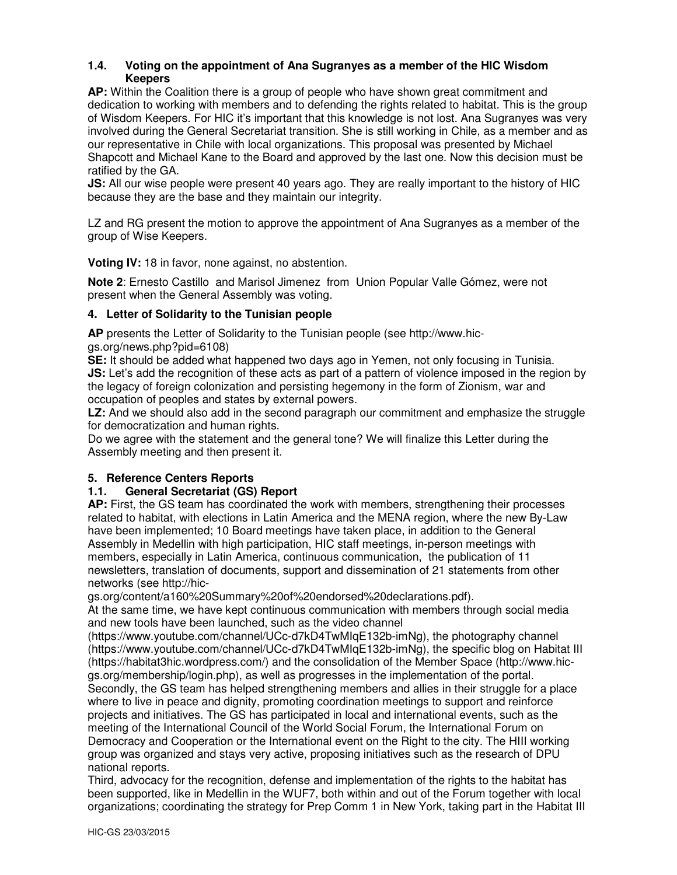### **1.4. Voting on the appointment of Ana Sugranyes as a member of the HIC Wisdom Keepers**

**AP:** Within the Coalition there is a group of people who have shown great commitment and dedication to working with members and to defending the rights related to habitat. This is the group of Wisdom Keepers. For HIC it's important that this knowledge is not lost. Ana Sugranyes was very involved during the General Secretariat transition. She is still working in Chile, as a member and as our representative in Chile with local organizations. This proposal was presented by Michael Shapcott and Michael Kane to the Board and approved by the last one. Now this decision must be ratified by the GA.

**JS:** All our wise people were present 40 years ago. They are really important to the history of HIC because they are the base and they maintain our integrity.

LZ and RG present the motion to approve the appointment of Ana Sugranyes as a member of the group of Wise Keepers.

**Voting IV:** 18 in favor, none against, no abstention.

**Note 2**: Ernesto Castillo and Marisol Jimenez from Union Popular Valle Gómez, were not present when the General Assembly was voting.

### **4. Letter of Solidarity to the Tunisian people**

**AP** presents the Letter of Solidarity to the Tunisian people (see http://www.hicgs.org/news.php?pid=6108)

**SE:** It should be added what happened two days ago in Yemen, not only focusing in Tunisia. **JS:** Let's add the recognition of these acts as part of a pattern of violence imposed in the region by the legacy of foreign colonization and persisting hegemony in the form of Zionism, war and occupation of peoples and states by external powers.

**LZ:** And we should also add in the second paragraph our commitment and emphasize the struggle for democratization and human rights.

Do we agree with the statement and the general tone? We will finalize this Letter during the Assembly meeting and then present it.

# **5. Reference Centers Reports**

### **1.1. General Secretariat (GS) Report**

**AP:** First, the GS team has coordinated the work with members, strengthening their processes related to habitat, with elections in Latin America and the MENA region, where the new By-Law have been implemented; 10 Board meetings have taken place, in addition to the General Assembly in Medellin with high participation, HIC staff meetings, in-person meetings with members, especially in Latin America, continuous communication, the publication of 11 newsletters, translation of documents, support and dissemination of 21 statements from other networks (see http://hic-

gs.org/content/a160%20Summary%20of%20endorsed%20declarations.pdf).

At the same time, we have kept continuous communication with members through social media and new tools have been launched, such as the video channel

(https://www.youtube.com/channel/UCc-d7kD4TwMIqE132b-imNg), the photography channel (https://www.youtube.com/channel/UCc-d7kD4TwMIqE132b-imNg), the specific blog on Habitat III (https://habitat3hic.wordpress.com/) and the consolidation of the Member Space (http://www.hicgs.org/membership/login.php), as well as progresses in the implementation of the portal. Secondly, the GS team has helped strengthening members and allies in their struggle for a place where to live in peace and dignity, promoting coordination meetings to support and reinforce projects and initiatives. The GS has participated in local and international events, such as the meeting of the International Council of the World Social Forum, the International Forum on Democracy and Cooperation or the International event on the Right to the city. The HIII working group was organized and stays very active, proposing initiatives such as the research of DPU national reports.

Third, advocacy for the recognition, defense and implementation of the rights to the habitat has been supported, like in Medellin in the WUF7, both within and out of the Forum together with local organizations; coordinating the strategy for Prep Comm 1 in New York, taking part in the Habitat III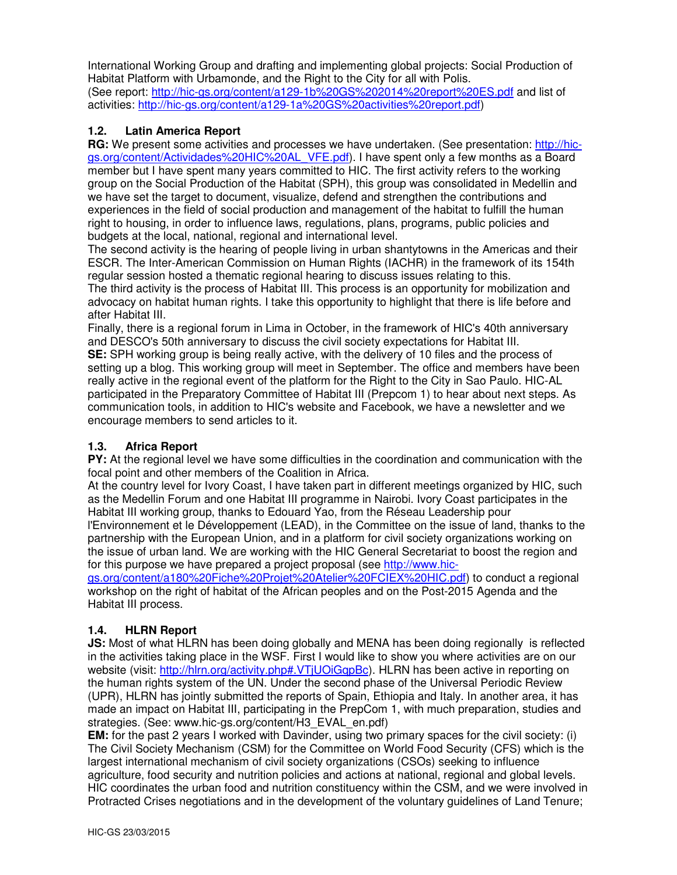International Working Group and drafting and implementing global projects: Social Production of Habitat Platform with Urbamonde, and the Right to the City for all with Polis. (See report: http://hic-gs.org/content/a129-1b%20GS%202014%20report%20ES.pdf and list of activities: http://hic-gs.org/content/a129-1a%20GS%20activities%20report.pdf)

### **1.2. Latin America Report**

**RG:** We present some activities and processes we have undertaken. (See presentation: http://hicgs.org/content/Actividades%20HIC%20AL\_VFE.pdf). I have spent only a few months as a Board member but I have spent many years committed to HIC. The first activity refers to the working group on the Social Production of the Habitat (SPH), this group was consolidated in Medellin and we have set the target to document, visualize, defend and strengthen the contributions and experiences in the field of social production and management of the habitat to fulfill the human right to housing, in order to influence laws, regulations, plans, programs, public policies and budgets at the local, national, regional and international level.

The second activity is the hearing of people living in urban shantytowns in the Americas and their ESCR. The Inter-American Commission on Human Rights (IACHR) in the framework of its 154th regular session hosted a thematic regional hearing to discuss issues relating to this.

The third activity is the process of Habitat III. This process is an opportunity for mobilization and advocacy on habitat human rights. I take this opportunity to highlight that there is life before and after Habitat III.

Finally, there is a regional forum in Lima in October, in the framework of HIC's 40th anniversary and DESCO's 50th anniversary to discuss the civil society expectations for Habitat III.

**SE:** SPH working group is being really active, with the delivery of 10 files and the process of setting up a blog. This working group will meet in September. The office and members have been really active in the regional event of the platform for the Right to the City in Sao Paulo. HIC-AL participated in the Preparatory Committee of Habitat III (Prepcom 1) to hear about next steps. As communication tools, in addition to HIC's website and Facebook, we have a newsletter and we encourage members to send articles to it.

### **1.3. Africa Report**

**PY:** At the regional level we have some difficulties in the coordination and communication with the focal point and other members of the Coalition in Africa.

At the country level for Ivory Coast, I have taken part in different meetings organized by HIC, such as the Medellin Forum and one Habitat III programme in Nairobi. Ivory Coast participates in the Habitat III working group, thanks to Edouard Yao, from the Réseau Leadership pour l'Environnement et le Développement (LEAD), in the Committee on the issue of land, thanks to the partnership with the European Union, and in a platform for civil society organizations working on the issue of urban land. We are working with the HIC General Secretariat to boost the region and for this purpose we have prepared a project proposal (see http://www.hic-

gs.org/content/a180%20Fiche%20Projet%20Atelier%20FCIEX%20HIC.pdf) to conduct a regional workshop on the right of habitat of the African peoples and on the Post-2015 Agenda and the Habitat III process.

### **1.4. HLRN Report**

**JS:** Most of what HLRN has been doing globally and MENA has been doing regionally is reflected in the activities taking place in the WSF. First I would like to show you where activities are on our website (visit: http://hlrn.org/activity.php#.VTjUOiGqpBc). HLRN has been active in reporting on the human rights system of the UN. Under the second phase of the Universal Periodic Review (UPR), HLRN has jointly submitted the reports of Spain, Ethiopia and Italy. In another area, it has made an impact on Habitat III, participating in the PrepCom 1, with much preparation, studies and strategies. (See: www.hic-gs.org/content/H3\_EVAL\_en.pdf)

**EM:** for the past 2 years I worked with Davinder, using two primary spaces for the civil society: (i) The Civil Society Mechanism (CSM) for the Committee on World Food Security (CFS) which is the largest international mechanism of civil society organizations (CSOs) seeking to influence agriculture, food security and nutrition policies and actions at national, regional and global levels. HIC coordinates the urban food and nutrition constituency within the CSM, and we were involved in Protracted Crises negotiations and in the development of the voluntary guidelines of Land Tenure;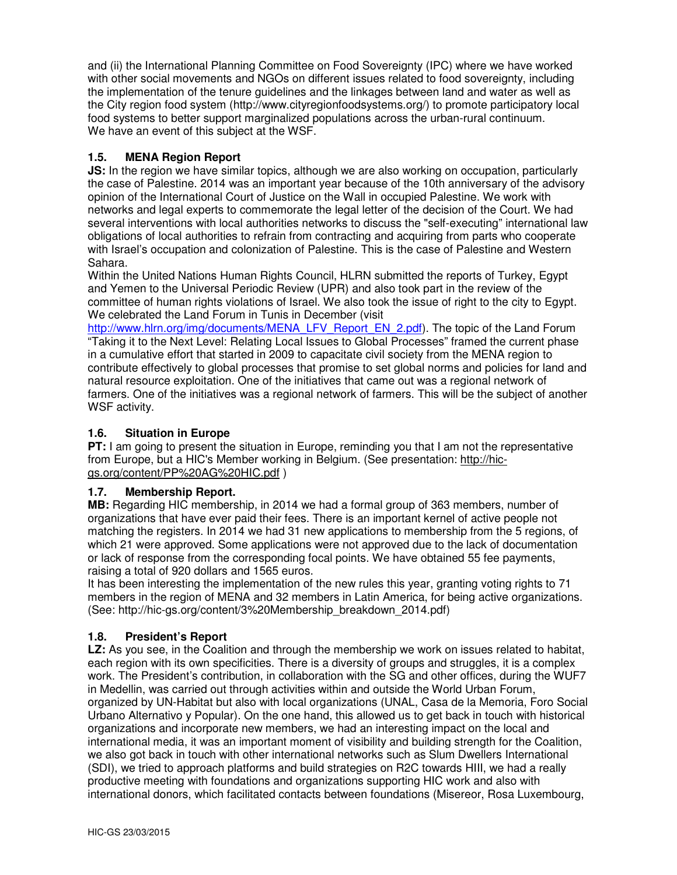and (ii) the International Planning Committee on Food Sovereignty (IPC) where we have worked with other social movements and NGOs on different issues related to food sovereignty, including the implementation of the tenure guidelines and the linkages between land and water as well as the City region food system (http://www.cityregionfoodsystems.org/) to promote participatory local food systems to better support marginalized populations across the urban-rural continuum. We have an event of this subject at the WSF.

### **1.5. MENA Region Report**

**JS:** In the region we have similar topics, although we are also working on occupation, particularly the case of Palestine. 2014 was an important year because of the 10th anniversary of the advisory opinion of the International Court of Justice on the Wall in occupied Palestine. We work with networks and legal experts to commemorate the legal letter of the decision of the Court. We had several interventions with local authorities networks to discuss the "self-executing" international law obligations of local authorities to refrain from contracting and acquiring from parts who cooperate with Israel's occupation and colonization of Palestine. This is the case of Palestine and Western Sahara.

Within the United Nations Human Rights Council, HLRN submitted the reports of Turkey, Egypt and Yemen to the Universal Periodic Review (UPR) and also took part in the review of the committee of human rights violations of Israel. We also took the issue of right to the city to Egypt. We celebrated the Land Forum in Tunis in December (visit

http://www.hlrn.org/img/documents/MENA\_LFV\_Report\_EN\_2.pdf). The topic of the Land Forum "Taking it to the Next Level: Relating Local Issues to Global Processes" framed the current phase in a cumulative effort that started in 2009 to capacitate civil society from the MENA region to contribute effectively to global processes that promise to set global norms and policies for land and natural resource exploitation. One of the initiatives that came out was a regional network of farmers. One of the initiatives was a regional network of farmers. This will be the subject of another WSF activity.

### **1.6. Situation in Europe**

**PT:** I am going to present the situation in Europe, reminding you that I am not the representative from Europe, but a HIC's Member working in Belgium. (See presentation: http://hicgs.org/content/PP%20AG%20HIC.pdf )

### **1.7. Membership Report.**

**MB:** Regarding HIC membership, in 2014 we had a formal group of 363 members, number of organizations that have ever paid their fees. There is an important kernel of active people not matching the registers. In 2014 we had 31 new applications to membership from the 5 regions, of which 21 were approved. Some applications were not approved due to the lack of documentation or lack of response from the corresponding focal points. We have obtained 55 fee payments, raising a total of 920 dollars and 1565 euros.

It has been interesting the implementation of the new rules this year, granting voting rights to 71 members in the region of MENA and 32 members in Latin America, for being active organizations. (See: http://hic-gs.org/content/3%20Membership\_breakdown\_2014.pdf)

### **1.8. President's Report**

**LZ:** As you see, in the Coalition and through the membership we work on issues related to habitat, each region with its own specificities. There is a diversity of groups and struggles, it is a complex work. The President's contribution, in collaboration with the SG and other offices, during the WUF7 in Medellin, was carried out through activities within and outside the World Urban Forum, organized by UN-Habitat but also with local organizations (UNAL, Casa de la Memoria, Foro Social Urbano Alternativo y Popular). On the one hand, this allowed us to get back in touch with historical organizations and incorporate new members, we had an interesting impact on the local and international media, it was an important moment of visibility and building strength for the Coalition, we also got back in touch with other international networks such as Slum Dwellers International (SDI), we tried to approach platforms and build strategies on R2C towards HIII, we had a really productive meeting with foundations and organizations supporting HIC work and also with international donors, which facilitated contacts between foundations (Misereor, Rosa Luxembourg,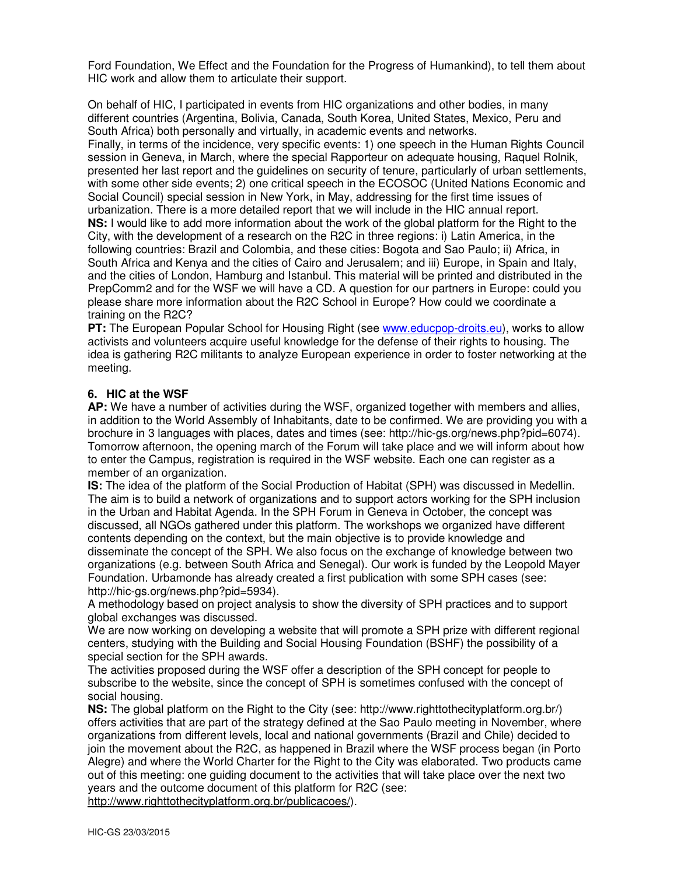Ford Foundation, We Effect and the Foundation for the Progress of Humankind), to tell them about HIC work and allow them to articulate their support.

On behalf of HIC, I participated in events from HIC organizations and other bodies, in many different countries (Argentina, Bolivia, Canada, South Korea, United States, Mexico, Peru and South Africa) both personally and virtually, in academic events and networks. Finally, in terms of the incidence, very specific events: 1) one speech in the Human Rights Council session in Geneva, in March, where the special Rapporteur on adequate housing, Raquel Rolnik, presented her last report and the guidelines on security of tenure, particularly of urban settlements, with some other side events; 2) one critical speech in the ECOSOC (United Nations Economic and Social Council) special session in New York, in May, addressing for the first time issues of urbanization. There is a more detailed report that we will include in the HIC annual report. **NS:** I would like to add more information about the work of the global platform for the Right to the City, with the development of a research on the R2C in three regions: i) Latin America, in the following countries: Brazil and Colombia, and these cities: Bogota and Sao Paulo; ii) Africa, in South Africa and Kenya and the cities of Cairo and Jerusalem; and iii) Europe, in Spain and Italy, and the cities of London, Hamburg and Istanbul. This material will be printed and distributed in the PrepComm2 and for the WSF we will have a CD. A question for our partners in Europe: could you please share more information about the R2C School in Europe? How could we coordinate a training on the R2C?

**PT:** The European Popular School for Housing Right (see www.educpop-droits.eu), works to allow activists and volunteers acquire useful knowledge for the defense of their rights to housing. The idea is gathering R2C militants to analyze European experience in order to foster networking at the meeting.

### **6. HIC at the WSF**

**AP:** We have a number of activities during the WSF, organized together with members and allies, in addition to the World Assembly of Inhabitants, date to be confirmed. We are providing you with a brochure in 3 languages with places, dates and times (see: http://hic-gs.org/news.php?pid=6074). Tomorrow afternoon, the opening march of the Forum will take place and we will inform about how to enter the Campus, registration is required in the WSF website. Each one can register as a member of an organization.

**IS:** The idea of the platform of the Social Production of Habitat (SPH) was discussed in Medellin. The aim is to build a network of organizations and to support actors working for the SPH inclusion in the Urban and Habitat Agenda. In the SPH Forum in Geneva in October, the concept was discussed, all NGOs gathered under this platform. The workshops we organized have different contents depending on the context, but the main objective is to provide knowledge and disseminate the concept of the SPH. We also focus on the exchange of knowledge between two organizations (e.g. between South Africa and Senegal). Our work is funded by the Leopold Mayer Foundation. Urbamonde has already created a first publication with some SPH cases (see: http://hic-gs.org/news.php?pid=5934).

A methodology based on project analysis to show the diversity of SPH practices and to support global exchanges was discussed.

We are now working on developing a website that will promote a SPH prize with different regional centers, studying with the Building and Social Housing Foundation (BSHF) the possibility of a special section for the SPH awards.

The activities proposed during the WSF offer a description of the SPH concept for people to subscribe to the website, since the concept of SPH is sometimes confused with the concept of social housing.

**NS:** The global platform on the Right to the City (see: http://www.righttothecityplatform.org.br/) offers activities that are part of the strategy defined at the Sao Paulo meeting in November, where organizations from different levels, local and national governments (Brazil and Chile) decided to join the movement about the R2C, as happened in Brazil where the WSF process began (in Porto Alegre) and where the World Charter for the Right to the City was elaborated. Two products came out of this meeting: one guiding document to the activities that will take place over the next two years and the outcome document of this platform for R2C (see: http://www.righttothecityplatform.org.br/publicacoes/).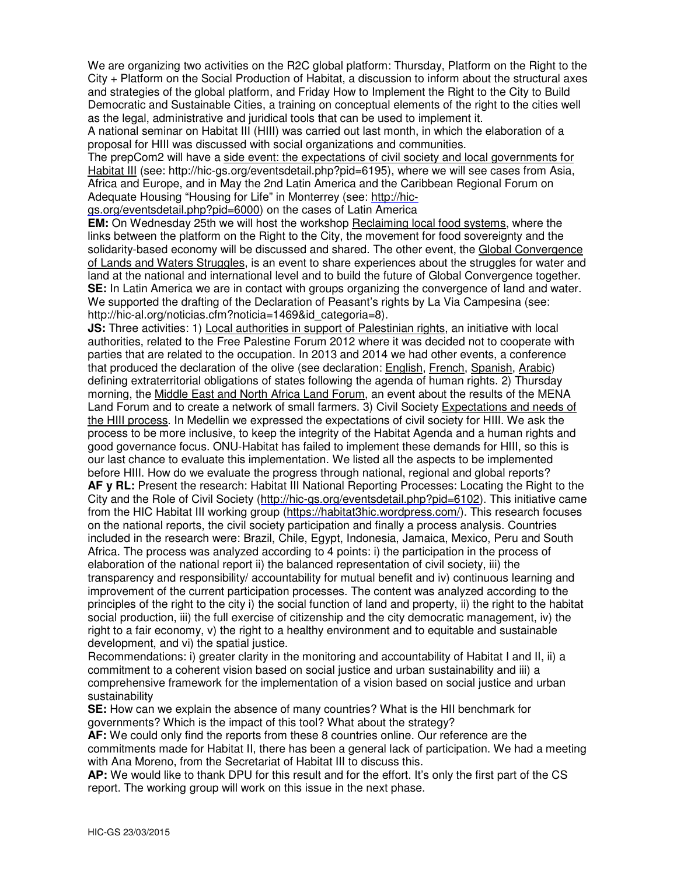We are organizing two activities on the R2C global platform: Thursday, Platform on the Right to the City + Platform on the Social Production of Habitat, a discussion to inform about the structural axes and strategies of the global platform, and Friday How to Implement the Right to the City to Build Democratic and Sustainable Cities, a training on conceptual elements of the right to the cities well as the legal, administrative and juridical tools that can be used to implement it.

A national seminar on Habitat III (HIII) was carried out last month, in which the elaboration of a proposal for HIII was discussed with social organizations and communities.

The prepCom2 will have a side event: the expectations of civil society and local governments for Habitat III (see: http://hic-gs.org/eventsdetail.php?pid=6195), where we will see cases from Asia, Africa and Europe, and in May the 2nd Latin America and the Caribbean Regional Forum on Adequate Housing "Housing for Life" in Monterrey (see: http://hic-

gs.org/eventsdetail.php?pid=6000) on the cases of Latin America

**EM:** On Wednesday 25th we will host the workshop Reclaiming local food systems, where the links between the platform on the Right to the City, the movement for food sovereignty and the solidarity-based economy will be discussed and shared. The other event, the Global Convergence of Lands and Waters Struggles, is an event to share experiences about the struggles for water and land at the national and international level and to build the future of Global Convergence together. **SE:** In Latin America we are in contact with groups organizing the convergence of land and water. We supported the drafting of the Declaration of Peasant's rights by La Via Campesina (see: http://hic-al.org/noticias.cfm?noticia=1469&id\_categoria=8).

**JS:** Three activities: 1) Local authorities in support of Palestinian rights, an initiative with local authorities, related to the Free Palestine Forum 2012 where it was decided not to cooperate with parties that are related to the occupation. In 2013 and 2014 we had other events, a conference that produced the declaration of the olive (see declaration: English, French, Spanish, Arabic) defining extraterritorial obligations of states following the agenda of human rights. 2) Thursday morning, the Middle East and North Africa Land Forum, an event about the results of the MENA Land Forum and to create a network of small farmers. 3) Civil Society Expectations and needs of the HIII process. In Medellin we expressed the expectations of civil society for HIII. We ask the process to be more inclusive, to keep the integrity of the Habitat Agenda and a human rights and good governance focus. ONU-Habitat has failed to implement these demands for HIII, so this is our last chance to evaluate this implementation. We listed all the aspects to be implemented before HIII. How do we evaluate the progress through national, regional and global reports? **AF y RL:** Present the research: Habitat III National Reporting Processes: Locating the Right to the City and the Role of Civil Society (http://hic-gs.org/eventsdetail.php?pid=6102). This initiative came from the HIC Habitat III working group (https://habitat3hic.wordpress.com/). This research focuses on the national reports, the civil society participation and finally a process analysis. Countries included in the research were: Brazil, Chile, Egypt, Indonesia, Jamaica, Mexico, Peru and South Africa. The process was analyzed according to 4 points: i) the participation in the process of elaboration of the national report ii) the balanced representation of civil society, iii) the transparency and responsibility/ accountability for mutual benefit and iv) continuous learning and improvement of the current participation processes. The content was analyzed according to the principles of the right to the city i) the social function of land and property, ii) the right to the habitat social production, iii) the full exercise of citizenship and the city democratic management, iv) the right to a fair economy, v) the right to a healthy environment and to equitable and sustainable

development, and vi) the spatial justice.

Recommendations: i) greater clarity in the monitoring and accountability of Habitat I and II, ii) a commitment to a coherent vision based on social justice and urban sustainability and iii) a comprehensive framework for the implementation of a vision based on social justice and urban sustainability

**SE:** How can we explain the absence of many countries? What is the HII benchmark for governments? Which is the impact of this tool? What about the strategy?

**AF:** We could only find the reports from these 8 countries online. Our reference are the commitments made for Habitat II, there has been a general lack of participation. We had a meeting with Ana Moreno, from the Secretariat of Habitat III to discuss this.

**AP:** We would like to thank DPU for this result and for the effort. It's only the first part of the CS report. The working group will work on this issue in the next phase.